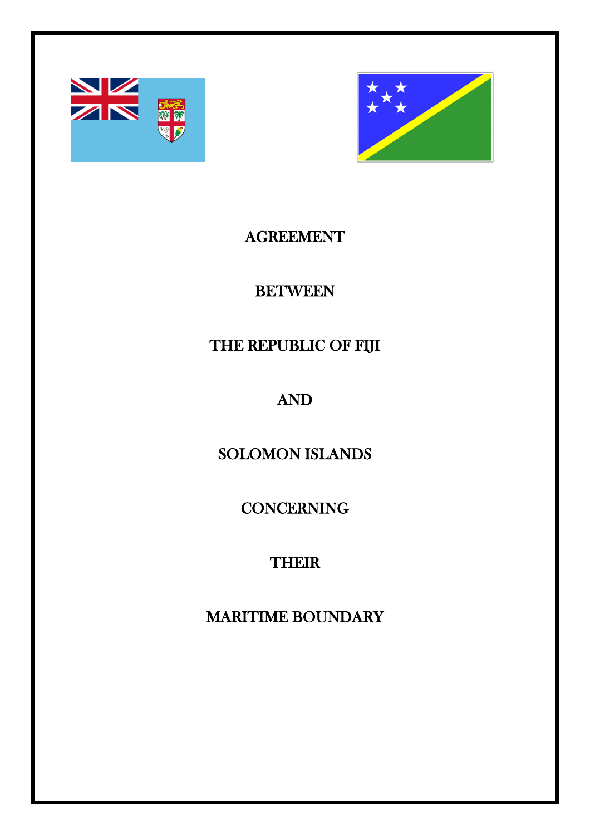



## AGREEMENT

## **BETWEEN**

## THE REPUBLIC OF FIJI

# AND

## SOLOMON ISLANDS

## **CONCERNING**

# **THEIR**

## MARITIME BOUNDARY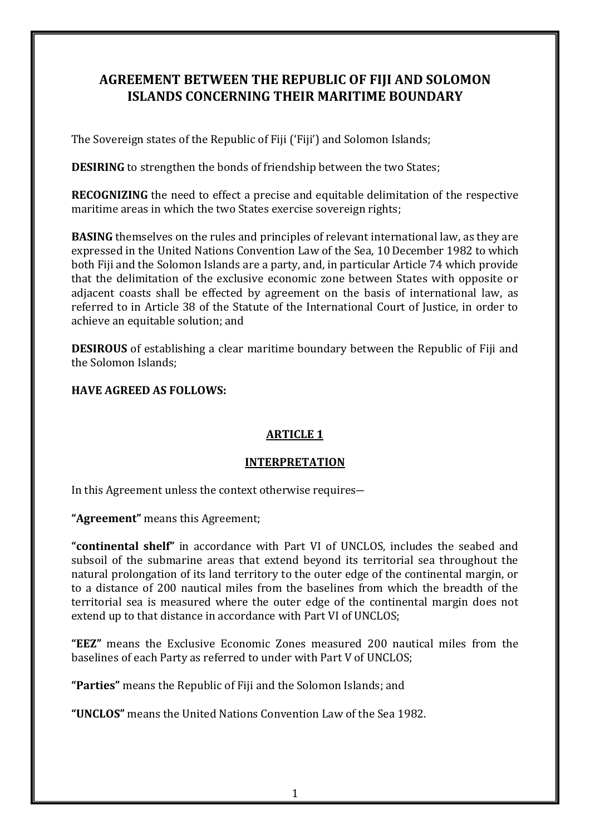### **AGREEMENT BETWEEN THE REPUBLIC OF FIJI AND SOLOMON ISLANDS CONCERNING THEIR MARITIME BOUNDARY**

The Sovereign states of the Republic of Fiji ('Fiji') and Solomon Islands;

**DESIRING** to strengthen the bonds of friendship between the two States;

**RECOGNIZING** the need to effect a precise and equitable delimitation of the respective maritime areas in which the two States exercise sovereign rights;

**BASING** themselves on the rules and principles of relevant international law, as they are expressed in the United Nations Convention Law of the Sea, 10 December 1982 to which both Fiji and the Solomon Islands are a party, and, in particular Article 74 which provide that the delimitation of the exclusive economic zone between States with opposite or adjacent coasts shall be effected by agreement on the basis of international law, as referred to in Article 38 of the Statute of the International Court of Justice, in order to achieve an equitable solution; and

**DESIROUS** of establishing a clear maritime boundary between the Republic of Fiji and the Solomon Islands;

**HAVE AGREED AS FOLLOWS:**

### **ARTICLE 1**

#### **INTERPRETATION**

In this Agreement unless the context otherwise requires―

**"Agreement"** means this Agreement;

**"continental shelf"** in accordance with Part VI of UNCLOS, includes the seabed and subsoil of the submarine areas that extend beyond its territorial sea throughout the natural prolongation of its land territory to the outer edge of the continental margin, or to a distance of 200 nautical miles from the baselines from which the breadth of the territorial sea is measured where the outer edge of the continental margin does not extend up to that distance in accordance with Part VI of UNCLOS;

**"EEZ"** means the Exclusive Economic Zones measured 200 nautical miles from the baselines of each Party as referred to under with Part V of UNCLOS;

**"Parties"** means the Republic of Fiji and the Solomon Islands; and

**"UNCLOS"** means the United Nations Convention Law of the Sea 1982.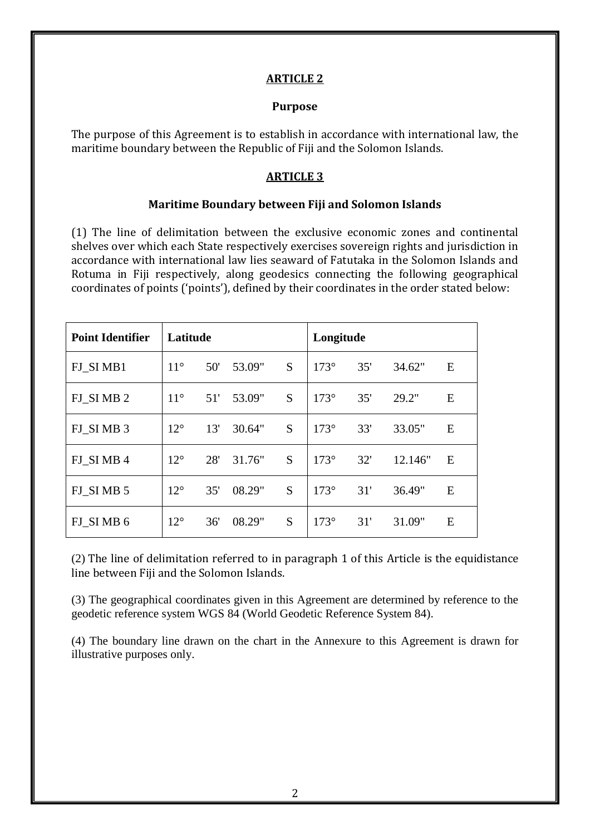#### **ARTICLE 2**

#### **Purpose**

The purpose of this Agreement is to establish in accordance with international law, the maritime boundary between the Republic of Fiji and the Solomon Islands.

### **ARTICLE 3**

#### **Maritime Boundary between Fiji and Solomon Islands**

(1) The line of delimitation between the exclusive economic zones and continental shelves over which each State respectively exercises sovereign rights and jurisdiction in accordance with international law lies seaward of Fatutaka in the Solomon Islands and Rotuma in Fiji respectively, along geodesics connecting the following geographical coordinates of points ('points'), defined by their coordinates in the order stated below:

| <b>Point Identifier</b> | Latitude     |     |        |   | Longitude   |     |         |   |
|-------------------------|--------------|-----|--------|---|-------------|-----|---------|---|
| FJ_SIMB1                | $11^{\circ}$ | 50' | 53.09" | S | $173^\circ$ | 35' | 34.62"  | E |
| FJ SIMB2                | $11^{\circ}$ | 51' | 53.09" | S | $173^\circ$ | 35' | 29.2"   | E |
| FJ_SIMB 3               | $12^{\circ}$ | 13' | 30.64" | S | $173^\circ$ | 33' | 33.05"  | E |
| FJ SIMB4                | $12^{\circ}$ | 28' | 31.76" | S | $173^\circ$ | 32' | 12.146" | E |
| FJ_SIMB 5               | $12^{\circ}$ | 35' | 08.29" | S | $173^\circ$ | 31' | 36.49"  | E |
| FJ SIMB 6               | $12^{\circ}$ | 36' | 08.29" | S | $173^\circ$ | 31' | 31.09"  | E |

(2) The line of delimitation referred to in paragraph 1 of this Article is the equidistance line between Fiji and the Solomon Islands.

(3) The geographical coordinates given in this Agreement are determined by reference to the geodetic reference system WGS 84 (World Geodetic Reference System 84).

(4) The boundary line drawn on the chart in the Annexure to this Agreement is drawn for illustrative purposes only.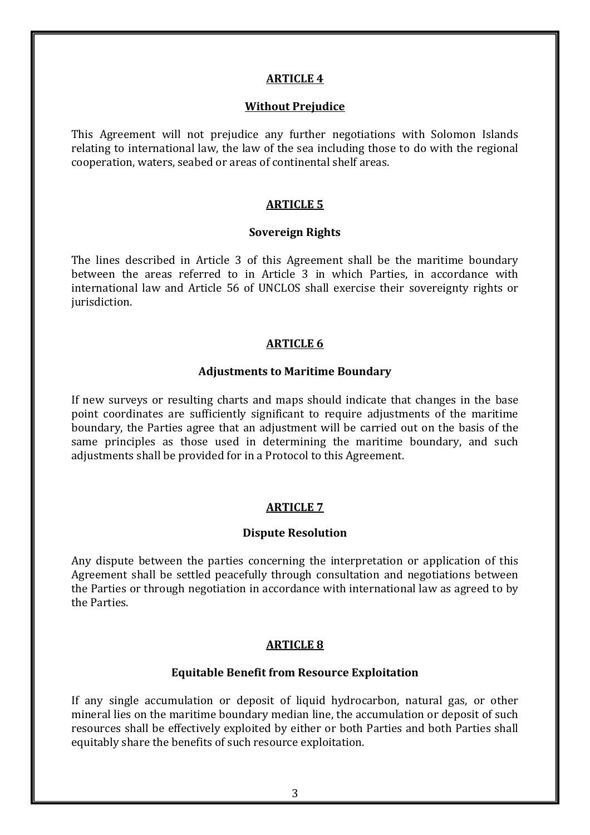#### **ARTICLE 4**

#### **Without Prejudice**

This Agreement will not prejudice any further negotiations with Solomon Islands relating to international law, the law of the sea including those to do with the regional cooperation, waters, seabed or areas of continental shelf areas.

#### **ARTICLE 5**

#### **Sovereign Rights**

The lines described in Article 3 of this Agreement shall be the maritime boundary between the areas referred to in Article 3 in which Parties, in accordance with international law and Article 56 of UNCLOS shall exercise their sovereignty rights or jurisdiction.

#### **ARTICLE 6**

#### **Adjustments to Maritime Boundary**

If new surveys or resulting charts and maps should indicate that changes in the base point coordinates are sufficiently significant to require adjustments of the maritime boundary, the Parties agree that an adjustment will be carried out on the basis of the same principles as those used in determining the maritime boundary, and such adjustments shall be provided for in a Protocol to this Agreement.

### **ARTICLE 7**

### **Dispute Resolution**

Any dispute between the parties concerning the interpretation or application of this Agreement shall be settled peacefully through consultation and negotiations between the Parties or through negotiation in accordance with international law as agreed to by the Parties.

### **ARTICLE 8**

#### **Equitable Benefit from Resource Exploitation**

If any single accumulation or deposit of liquid hydrocarbon, natural gas, or other mineral lies on the maritime boundary median line, the accumulation or deposit of such resources shall be effectively exploited by either or both Parties and both Parties shall equitably share the benefits of such resource exploitation.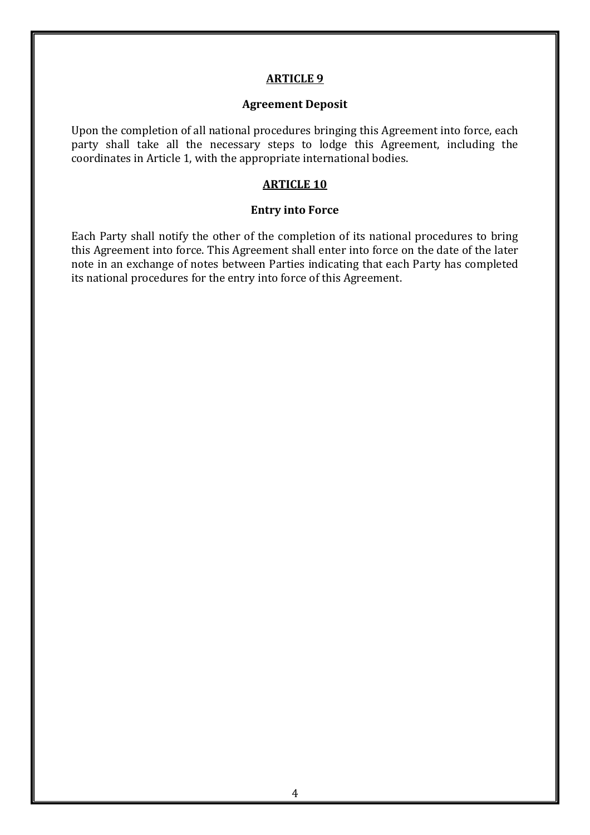#### **ARTICLE 9**

#### **Agreement Deposit**

Upon the completion of all national procedures bringing this Agreement into force, each party shall take all the necessary steps to lodge this Agreement, including the coordinates in Article 1, with the appropriate international bodies.

#### **ARTICLE 10**

#### **Entry into Force**

Each Party shall notify the other of the completion of its national procedures to bring this Agreement into force. This Agreement shall enter into force on the date of the later note in an exchange of notes between Parties indicating that each Party has completed its national procedures for the entry into force of this Agreement.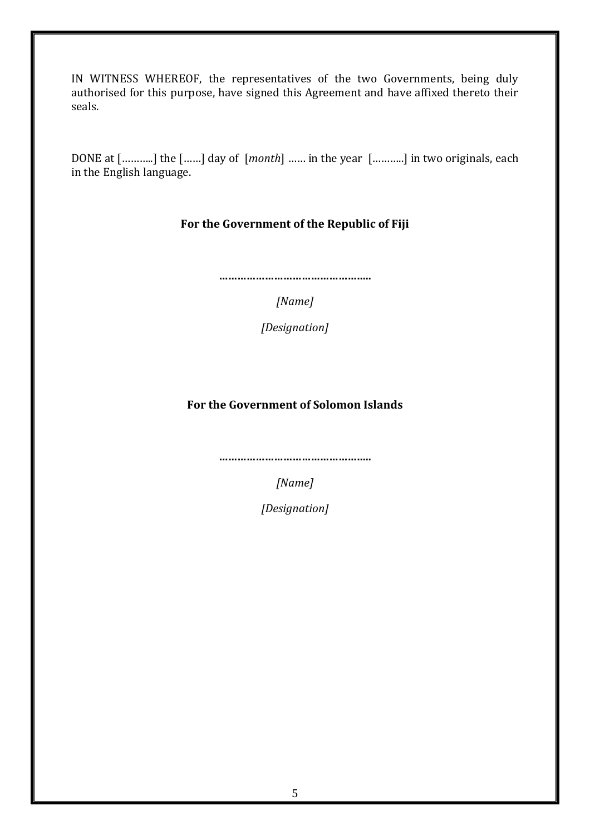IN WITNESS WHEREOF, the representatives of the two Governments, being duly authorised for this purpose, have signed this Agreement and have affixed thereto their seals.

DONE at [………..] the [……] day of [*month*] …… in the year [………..] in two originals, each in the English language.

### **For the Government of the Republic of Fiji**

**…………………………………………..**

*[Name]*

*[Designation]* 

### **For the Government of Solomon Islands**

**…………………………………………..**

*[Name]*

*[Designation]*